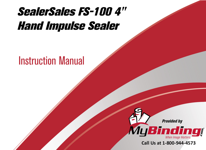# SealerSales FS-100 4" [Hand Impulse Sealer](https://www.mybinding.com/sealersales-fs-100-4-hand-impulse-sealer.html)

## Instruction Manual



Call Us at 1-800-944-4573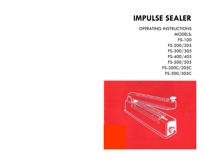### **IMPULSE SEALER**

OPERATING INSTRUCTIONS MODELS: FS-100 FS-200/205 FS-300 /305 FS-400/405 FS-500/505 FS-200C/205C FS-300/305C

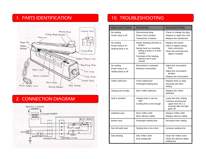#### 1. PARTS IDENTIFICATION



#### 2. CONNECTION DIAGRAM



#### 10. TROUBLESHOOTING

| <b>MALFUNCTIONS</b>                                   | <b>REASONS</b>                                                                                                                                                           | <b>SUGGESTIONS</b>                                                                                              |
|-------------------------------------------------------|--------------------------------------------------------------------------------------------------------------------------------------------------------------------------|-----------------------------------------------------------------------------------------------------------------|
| No sealing<br>Power lamp is off                       | Disconnected plug<br>Power cord is broken<br>Transformer is broken                                                                                                       | Check or change the plug<br>Replace or repair the cord<br>Replace the transformer                               |
| No sealing<br>Power lamp is on<br>Sealing lamp is on  | Heater (heating element) is<br>broken<br>Spring hook our mounting<br>spring is loose or in poor<br>contact<br>Terminals of the heating<br>element are in poor<br>contact | Replace the heater<br>Clean or tighten spring<br>hook connection<br>Clean the terminals and<br>adjust if needed |
| No sealing<br>Power lamp is on<br>Sealing lamp is off | Microswitch is activated<br>Defective microswitch                                                                                                                        | Adjust the microswitch<br>lever<br>Adjust the microswitch<br>position<br>Replace the microswitch                |
| Teflon cloth burn                                     | Timer malfunction<br>Prolonged heating time                                                                                                                              | Replace timer or relay<br>Decrease the timer<br>setting                                                         |
| Heating wire breaks                                   | Worn Teflon adhesive                                                                                                                                                     | Replace the Teflon<br>adhesive                                                                                  |
| Seal is wrinkled                                      | Heating timer is set too<br>high<br>Cooling time is not enough                                                                                                           | Lower the timer setting<br>Continue pressing the<br>upper lever for 1-2<br>seconds after the light<br>goes off  |
| Imperfect seal                                        | Worn Teflon cloth<br>Worn silicone rubber                                                                                                                                | Replace Teflon cloth<br>Replace silicone rubber                                                                 |
| Broken seal                                           | Prolonged sealing time                                                                                                                                                   | Decrease timer setting                                                                                          |
| Non-full-weld seal                                    | Sealing time is too short                                                                                                                                                | Increase sealing time                                                                                           |
| Seal sticking                                         | Dirty Teflon cloth<br>Dirty sealing bar                                                                                                                                  | Clean the Teflon cover<br>Clean the silicone rubber<br>sealing bar                                              |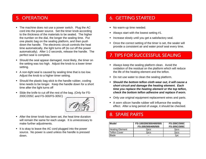#### 5. OPERATION

- The machine does not use a power switch. Plug the AC cord into the power source. Set the timer knob according to the thickness of the materials to be sealed. The higher the number on the dial, the longer the sealing time. Put one plastic bag on the sealing platform, and then push down the handle. The electronic circuit controls the heat time automatically, the light turns off (to cut off the power automatically). After 1-2 seconds, release the handle. The perfect seal is complete.
- Should the seal appear damaged, most likely, the timer on the setting was too high. Adjust the knob to a lower timer setting.
- A non-tight seal is caused by sealing time that is too low. Adjust the knob to a higher timer setting.
- Should the plastic bag stick to the handle rubber, cooling time needs to be longer. Keep the handle down for a short time after the light turns off
- Slide the knife to cut off the rest of the bag. (Only for FS-200C/205C and FS-300/FS-305C)



- After the timer knob has been set, the heat time duration will remain the same for each usage. It is unnecessary to make further adjustments.
- It is okay to leave the AC cord plugged into the power source. No power is used unless the handle is pressed down.

#### 6. GETTING STARTED

- No warm-up time needed.
- Always start with the lowest setting #1.
- ٠. Increase slowly until you get a satisfactory seal.
- Once the correct setting of the timer is set, the sealer will provide a consistent air and water proof seal every time.

#### 7. TIPS FOR SUCCESSFUL SEALING

- Always keep the sealing platform clean. Avoid the oxidation of the residual on the platform which will reduce the life of the heating element and the teflon.
- Do not use water to clean the sealing platform.
- *Should the bottom teflon cloth wear out, it will cause a short circuit and damage the heating element. Each time you replace the heating element or the top teflon teflon, check the bottom teflon adhesive and replace if worn.*
- Only use original equipment replacement wires and parts.
- A worn silicon handle rubber will influence the sealing effect. After a long period of usage, it should be checked.

#### 8. SPARE PARTS

| <b>Model</b>           | FS-100/200/300/400/505<br>FS-205/305/405/505 | <b>FS-200C/300C</b><br><b>FS-205C/305C</b> |
|------------------------|----------------------------------------------|--------------------------------------------|
| <b>Heating Element</b> | 2 <sub>pcs</sub>                             | 2 <sub>DCS</sub>                           |
| <b>Teflon Cover</b>    | 2 <sub>DCS</sub>                             | 2 <sub>pcs</sub>                           |
| <b>Blade</b>           | --                                           | 1pc                                        |